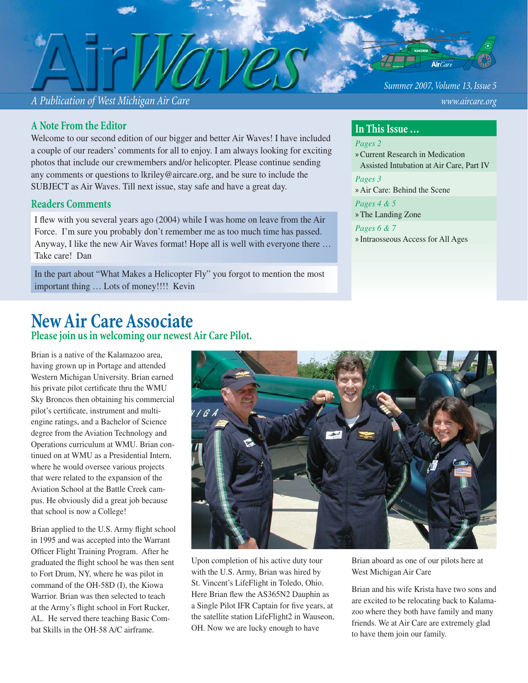*A Publication of West Michigan Air Care www.aircare.org*

### **A Note From the Editor**

Welcome to our second edition of our bigger and better Air Waves! I have included a couple of our readers' comments for all to enjoy. I am always looking for exciting photos that include our crewmembers and/or helicopter. Please continue sending any comments or questions to lkriley@aircare.org, and be sure to include the SUBJECT as Air Waves. Till next issue, stay safe and have a great day.

## **Readers Comments**

I flew with you several years ago (2004) while I was home on leave from the Air Force. I'm sure you probably don't remember me as too much time has passed. Anyway, I like the new Air Waves format! Hope all is well with everyone there … Take care! Dan

In the part about "What Makes a Helicopter Fly" you forgot to mention the most important thing … Lots of money!!!! Kevin

## **New Air Care Associate**

**Please join us in welcoming our newest Air Care Pilot.**

Brian is a native of the Kalamazoo area, having grown up in Portage and attended Western Michigan University. Brian earned his private pilot certificate thru the WMU Sky Broncos then obtaining his commercial pilot's certificate, instrument and multiengine ratings, and a Bachelor of Science degree from the Aviation Technology and Operations curriculum at WMU. Brian continued on at WMU as a Presidential Intern, where he would oversee various projects that were related to the expansion of the Aviation School at the Battle Creek campus. He obviously did a great job because that school is now a College!

Brian applied to the U.S. Army flight school in 1995 and was accepted into the Warrant Officer Flight Training Program. After he graduated the flight school he was then sent to Fort Drum, NY, where he was pilot in command of the OH-58D (I), the Kiowa Warrior. Brian was then selected to teach at the Army's flight school in Fort Rucker, AL. He served there teaching Basic Combat Skills in the OH-58 A/C airframe.



Upon completion of his active duty tour with the U.S. Army, Brian was hired by St. Vincent's LifeFlight in Toledo, Ohio. Here Brian flew the AS365N2 Dauphin as a Single Pilot IFR Captain for five years, at the satellite station LifeFlight2 in Wauseon, OH. Now we are lucky enough to have

Brian aboard as one of our pilots here at West Michigan Air Care

Brian and his wife Krista have two sons and are excited to be relocating back to Kalamazoo where they both have family and many friends. We at Air Care are extremely glad to have them join our family.

*Summer 2007, Volume 13, Issue 5*

### **In This Issue …**

*Pages 2*

Current Research in Medication » Assisted Intubation at Air Care, Part IV

*Pages 3* » Air Care: Behind the Scene

*Pages 4 & 5* » The Landing Zone

*Pages 6 & 7* » Intraosseous Access for All Ages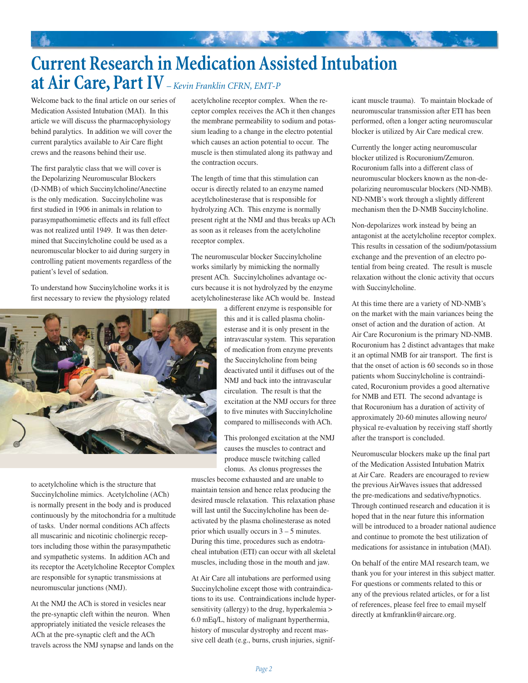## **Current Research in Medication Assisted Intubation at Air Care, Part IV** *– Kevin Franklin CFRN, EMT-P*

**大家 化电子** 

Welcome back to the final article on our series of Medication Assisted Intubation (MAI). In this article we will discuss the pharmacophysiology behind paralytics. In addition we will cover the current paralytics available to Air Care flight crews and the reasons behind their use.

The first paralytic class that we will cover is the Depolarizing Neuromuscular Blockers (D-NMB) of which Succinylcholine/Anectine is the only medication. Succinylcholine was first studied in 1906 in animals in relation to parasympathomimetic effects and its full effect was not realized until 1949. It was then determined that Succinylcholine could be used as a neuromuscular blocker to aid during surgery in controlling patient movements regardless of the patient's level of sedation.

To understand how Succinylcholine works it is first necessary to review the physiology related



to acetylcholine which is the structure that Succinylcholine mimics. Acetylcholine (ACh) is normally present in the body and is produced continuously by the mitochondria for a multitude of tasks. Under normal conditions ACh affects all muscarinic and nicotinic cholinergic receptors including those within the parasympathetic and sympathetic systems. In addition ACh and its receptor the Acetylcholine Receptor Complex are responsible for synaptic transmissions at neuromuscular junctions (NMJ).

At the NMJ the ACh is stored in vesicles near the pre-synaptic cleft within the neuron. When appropriately initiated the vesicle releases the ACh at the pre-synaptic cleft and the ACh travels across the NMJ synapse and lands on the acetylcholine receptor complex. When the receptor complex receives the ACh it then changes the membrane permeability to sodium and potassium leading to a change in the electro potential which causes an action potential to occur. The muscle is then stimulated along its pathway and the contraction occurs.

The length of time that this stimulation can occur is directly related to an enzyme named aceytlcholinesterase that is responsible for hydrolyzing ACh. This enzyme is normally present right at the NMJ and thus breaks up ACh as soon as it releases from the acetylcholine receptor complex.

The neuromuscular blocker Succinylcholine works similarly by mimicking the normally present ACh. Succinylcholines advantage occurs because it is not hydrolyzed by the enzyme acetylcholinesterase like ACh would be. Instead

> a different enzyme is responsible for this and it is called plasma cholinesterase and it is only present in the intravascular system. This separation of medication from enzyme prevents the Succinylcholine from being deactivated until it diffuses out of the NMJ and back into the intravascular circulation. The result is that the excitation at the NMJ occurs for three to five minutes with Succinylcholine compared to milliseconds with ACh.

This prolonged excitation at the NMJ causes the muscles to contract and produce muscle twitching called clonus. As clonus progresses the

muscles become exhausted and are unable to maintain tension and hence relax producing the desired muscle relaxation. This relaxation phase will last until the Succinylcholine has been deactivated by the plasma cholinesterase as noted prior which usually occurs in 3 – 5 minutes. During this time, procedures such as endotracheal intubation (ETI) can occur with all skeletal muscles, including those in the mouth and jaw.

At Air Care all intubations are performed using Succinylcholine except those with contraindications to its use. Contraindications include hypersensitivity (allergy) to the drug, hyperkalemia > 6.0 mEq/L, history of malignant hyperthermia, history of muscular dystrophy and recent massive cell death (e.g., burns, crush injuries, significant muscle trauma). To maintain blockade of neuromuscular transmission after ETI has been performed, often a longer acting neuromuscular blocker is utilized by Air Care medical crew.

Currently the longer acting neuromuscular blocker utilized is Rocuronium/Zemuron. Rocuronium falls into a different class of neuromuscular blockers known as the non-depolarizing neuromuscular blockers (ND-NMB). ND-NMB's work through a slightly different mechanism then the D-NMB Succinylcholine.

Non-depolarizes work instead by being an antagonist at the acetylcholine receptor complex. This results in cessation of the sodium/potassium exchange and the prevention of an electro potential from being created. The result is muscle relaxation without the clonic activity that occurs with Succinylcholine.

At this time there are a variety of ND-NMB's on the market with the main variances being the onset of action and the duration of action. At Air Care Rocuronium is the primary ND-NMB. Rocuronium has 2 distinct advantages that make it an optimal NMB for air transport. The first is that the onset of action is 60 seconds so in those patients whom Succinylcholine is contraindicated, Rocuronium provides a good alternative for NMB and ETI. The second advantage is that Rocuronium has a duration of activity of approximately 20-60 minutes allowing neuro/ physical re-evaluation by receiving staff shortly after the transport is concluded.

Neuromuscular blockers make up the final part of the Medication Assisted Intubation Matrix at Air Care. Readers are encouraged to review the previous AirWaves issues that addressed the pre-medications and sedative/hypnotics. Through continued research and education it is hoped that in the near future this information will be introduced to a broader national audience and continue to promote the best utilization of medications for assistance in intubation (MAI).

On behalf of the entire MAI research team, we thank you for your interest in this subject matter. For questions or comments related to this or any of the previous related articles, or for a list of references, please feel free to email myself directly at kmfranklin@aircare.org.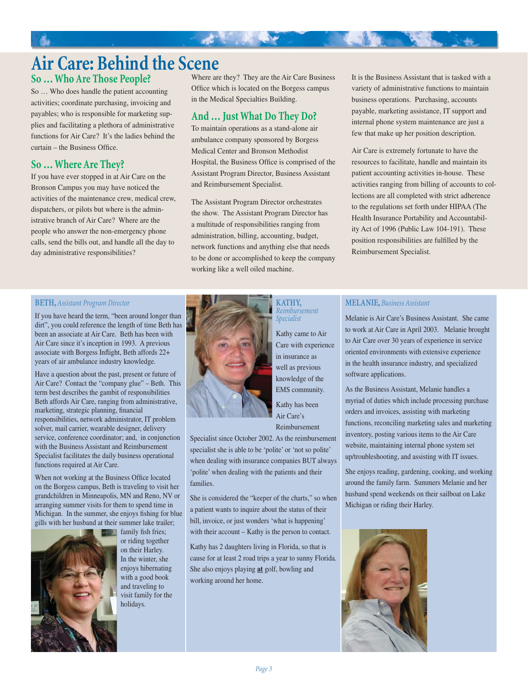## **So … Who Are Those People?**

So … Who does handle the patient accounting activities; coordinate purchasing, invoicing and payables; who is responsible for marketing supplies and facilitating a plethora of administrative functions for Air Care? It's the ladies behind the  $curtain - the Business Office.$ 

## **So … Where Are They?**

If you have ever stopped in at Air Care on the Bronson Campus you may have noticed the activities of the maintenance crew, medical crew, dispatchers, or pilots but where is the administrative branch of Air Care? Where are the people who answer the non-emergency phone calls, send the bills out, and handle all the day to day administrative responsibilities?

Where are they? They are the Air Care Business Office which is located on the Borgess campus in the Medical Specialties Building.

## **And … Just What Do They Do?**

大家 化电子

To maintain operations as a stand-alone air ambulance company sponsored by Borgess Medical Center and Bronson Methodist Hospital, the Business Office is comprised of the Assistant Program Director, Business Assistant and Reimbursement Specialist.

The Assistant Program Director orchestrates the show. The Assistant Program Director has a multitude of responsibilities ranging from administration, billing, accounting, budget, network functions and anything else that needs to be done or accomplished to keep the company working like a well oiled machine.

It is the Business Assistant that is tasked with a variety of administrative functions to maintain business operations. Purchasing, accounts payable, marketing assistance, IT support and internal phone system maintenance are just a few that make up her position description.

Air Care is extremely fortunate to have the resources to facilitate, handle and maintain its patient accounting activities in-house. These activities ranging from billing of accounts to collections are all completed with strict adherence to the regulations set forth under HIPAA (The Health Insurance Portability and Accountability Act of 1996 (Public Law 104-191). These position responsibilities are fulfilled by the Reimbursement Specialist.

#### **BETH,** *Assistant Program Director*

If you have heard the term, "been around longer than dirt", you could reference the length of time Beth has been an associate at Air Care. Beth has been with Air Care since it's inception in 1993. A previous associate with Borgess Inflight, Beth affords  $22+$ years of air ambulance industry knowledge.

Have a question about the past, present or future of Air Care? Contact the "company glue" – Beth. This term best describes the gambit of responsibilities Beth affords Air Care, ranging from administrative, marketing, strategic planning, financial responsibilities, network administrator, IT problem solver, mail carrier, wearable designer, delivery service, conference coordinator; and, in conjunction with the Business Assistant and Reimbursement Specialist facilitates the daily business operational functions required at Air Care.

When not working at the Business Office located on the Borgess campus, Beth is traveling to visit her grandchildren in Minneapolis, MN and Reno, NV or arranging summer visits for them to spend time in Michigan. In the summer, she enjoys fishing for blue gills with her husband at their summer lake trailer;



family fish fries; or riding together on their Harley. In the winter, she enjoys hibernating with a good book and traveling to visit family for the holidays.



#### **KATHY,**  *Reimbursement Specialist*

Kathy came to Air Care with experience in insurance as well as previous knowledge of the EMS community. Kathy has been Air Care's Reimbursement

Specialist since October 2002. As the reimbursement specialist she is able to be 'polite' or 'not so polite' when dealing with insurance companies BUT always 'polite' when dealing with the patients and their families.

She is considered the "keeper of the charts," so when a patient wants to inquire about the status of their bill, invoice, or just wonders 'what is happening' with their account – Kathy is the person to contact.

Kathy has 2 daughters living in Florida, so that is cause for at least 2 road trips a year to sunny Florida. She also enjoys playing **at** golf, bowling and working around her home.

#### **MELANIE,** *Business Assistant*

Melanie is Air Care's Business Assistant. She came to work at Air Care in April 2003. Melanie brought to Air Care over 30 years of experience in service oriented environments with extensive experience in the health insurance industry, and specialized software applications.

As the Business Assistant, Melanie handles a myriad of duties which include processing purchase orders and invoices, assisting with marketing functions, reconciling marketing sales and marketing inventory, posting various items to the Air Care website, maintaining internal phone system set up/troubleshooting, and assisting with IT issues.

She enjoys reading, gardening, cooking, and working around the family farm. Summers Melanie and her husband spend weekends on their sailboat on Lake Michigan or riding their Harley.

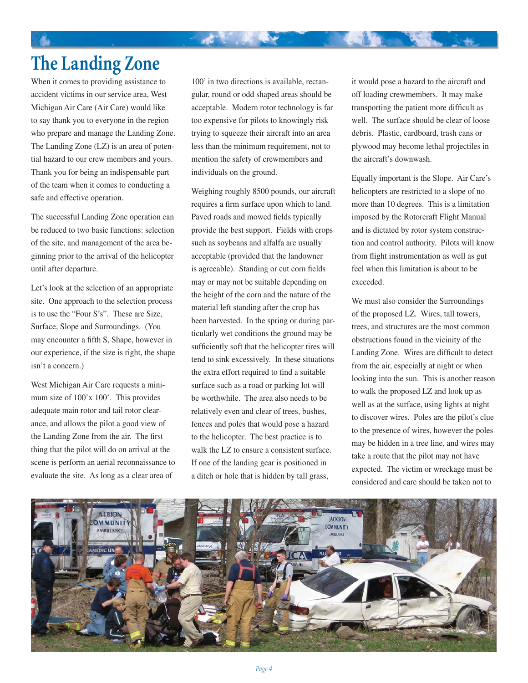## **The Landing Zone**

When it comes to providing assistance to accident victims in our service area, West Michigan Air Care (Air Care) would like to say thank you to everyone in the region who prepare and manage the Landing Zone. The Landing Zone (LZ) is an area of potential hazard to our crew members and yours. Thank you for being an indispensable part of the team when it comes to conducting a safe and effective operation.

The successful Landing Zone operation can be reduced to two basic functions: selection of the site, and management of the area beginning prior to the arrival of the helicopter until after departure.

Let's look at the selection of an appropriate site. One approach to the selection process is to use the "Four S's". These are Size, Surface, Slope and Surroundings. (You may encounter a fifth S, Shape, however in our experience, if the size is right, the shape isn't a concern.)

West Michigan Air Care requests a minimum size of 100'x 100'. This provides adequate main rotor and tail rotor clearance, and allows the pilot a good view of the Landing Zone from the air. The first thing that the pilot will do on arrival at the scene is perform an aerial reconnaissance to evaluate the site. As long as a clear area of

100' in two directions is available, rectangular, round or odd shaped areas should be acceptable. Modern rotor technology is far too expensive for pilots to knowingly risk trying to squeeze their aircraft into an area less than the minimum requirement, not to mention the safety of crewmembers and individuals on the ground.

大家 化电子

Weighing roughly 8500 pounds, our aircraft requires a firm surface upon which to land. Paved roads and mowed fields typically provide the best support. Fields with crops such as soybeans and alfalfa are usually acceptable (provided that the landowner is agreeable). Standing or cut corn fields may or may not be suitable depending on the height of the corn and the nature of the material left standing after the crop has been harvested. In the spring or during particularly wet conditions the ground may be sufficiently soft that the helicopter tires will tend to sink excessively. In these situations the extra effort required to find a suitable surface such as a road or parking lot will be worthwhile. The area also needs to be relatively even and clear of trees, bushes, fences and poles that would pose a hazard to the helicopter. The best practice is to walk the LZ to ensure a consistent surface. If one of the landing gear is positioned in a ditch or hole that is hidden by tall grass,

it would pose a hazard to the aircraft and off loading crewmembers. It may make transporting the patient more difficult as well. The surface should be clear of loose debris. Plastic, cardboard, trash cans or plywood may become lethal projectiles in the aircraft's downwash.

Equally important is the Slope. Air Care's helicopters are restricted to a slope of no more than 10 degrees. This is a limitation imposed by the Rotorcraft Flight Manual and is dictated by rotor system construction and control authority. Pilots will know from flight instrumentation as well as gut feel when this limitation is about to be exceeded.

We must also consider the Surroundings of the proposed LZ. Wires, tall towers, trees, and structures are the most common obstructions found in the vicinity of the Landing Zone. Wires are difficult to detect from the air, especially at night or when looking into the sun. This is another reason to walk the proposed LZ and look up as well as at the surface, using lights at night to discover wires. Poles are the pilot's clue to the presence of wires, however the poles may be hidden in a tree line, and wires may take a route that the pilot may not have expected. The victim or wreckage must be considered and care should be taken not to

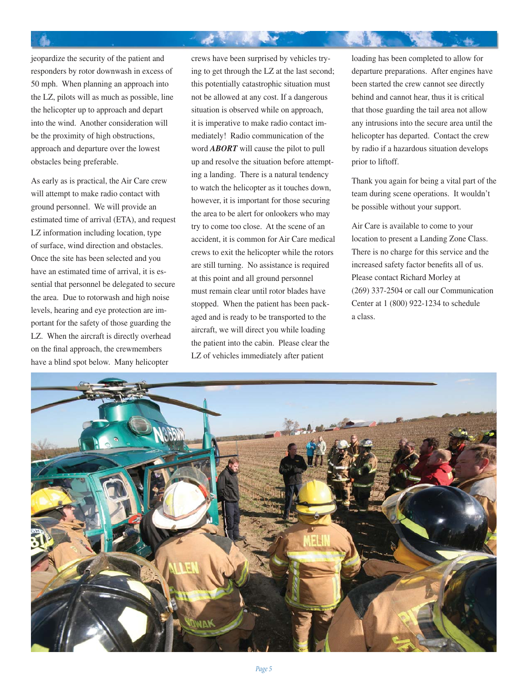jeopardize the security of the patient and responders by rotor downwash in excess of 50 mph. When planning an approach into the LZ, pilots will as much as possible, line the helicopter up to approach and depart into the wind. Another consideration will be the proximity of high obstructions, approach and departure over the lowest obstacles being preferable.

As early as is practical, the Air Care crew will attempt to make radio contact with ground personnel. We will provide an estimated time of arrival (ETA), and request LZ information including location, type of surface, wind direction and obstacles. Once the site has been selected and you have an estimated time of arrival, it is essential that personnel be delegated to secure the area. Due to rotorwash and high noise levels, hearing and eye protection are important for the safety of those guarding the LZ. When the aircraft is directly overhead on the final approach, the crewmembers have a blind spot below. Many helicopter

crews have been surprised by vehicles trying to get through the LZ at the last second; this potentially catastrophic situation must not be allowed at any cost. If a dangerous situation is observed while on approach, it is imperative to make radio contact immediately! Radio communication of the word *ABORT* will cause the pilot to pull up and resolve the situation before attempting a landing. There is a natural tendency to watch the helicopter as it touches down, however, it is important for those securing the area to be alert for onlookers who may try to come too close. At the scene of an accident, it is common for Air Care medical crews to exit the helicopter while the rotors are still turning. No assistance is required at this point and all ground personnel must remain clear until rotor blades have stopped. When the patient has been packaged and is ready to be transported to the aircraft, we will direct you while loading the patient into the cabin. Please clear the LZ of vehicles immediately after patient

ж.

loading has been completed to allow for departure preparations. After engines have been started the crew cannot see directly behind and cannot hear, thus it is critical that those guarding the tail area not allow any intrusions into the secure area until the helicopter has departed. Contact the crew by radio if a hazardous situation develops prior to liftoff.

Thank you again for being a vital part of the team during scene operations. It wouldn't be possible without your support.

Air Care is available to come to your location to present a Landing Zone Class. There is no charge for this service and the increased safety factor benefits all of us. Please contact Richard Morley at (269) 337-2504 or call our Communication Center at 1 (800) 922-1234 to schedule a class.

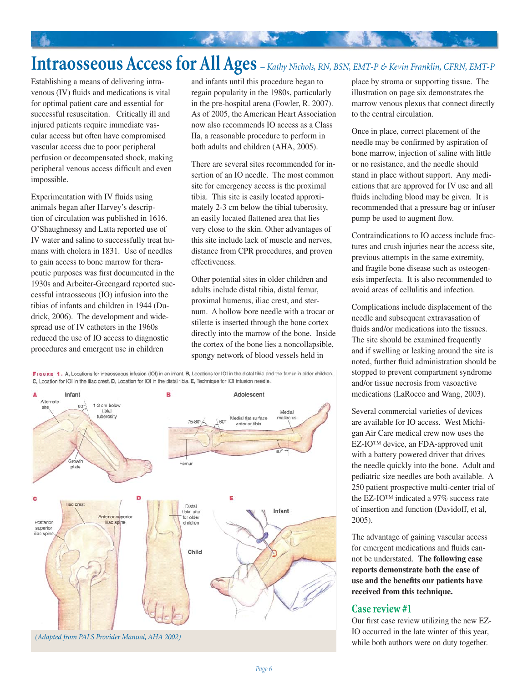# **Intraosseous Access for All Ages** *– Kathy Nichols, RN, BSN, EMT-P & Kevin Franklin, CFRN, EMT-P*

法意识 医心

Establishing a means of delivering intravenous (IV) fluids and medications is vital for optimal patient care and essential for successful resuscitation. Critically ill and injured patients require immediate vascular access but often have compromised vascular access due to poor peripheral perfusion or decompensated shock, making peripheral venous access difficult and even impossible.

Experimentation with IV fluids using animals began after Harvey's description of circulation was published in 1616. O'Shaughnessy and Latta reported use of IV water and saline to successfully treat humans with cholera in 1831. Use of needles to gain access to bone marrow for therapeutic purposes was first documented in the 1930s and Arbeiter-Greengard reported successful intraosseous (IO) infusion into the tibias of infants and children in 1944 (Dudrick, 2006). The development and widespread use of IV catheters in the 1960s reduced the use of IO access to diagnostic procedures and emergent use in children

and infants until this procedure began to regain popularity in the 1980s, particularly in the pre-hospital arena (Fowler, R. 2007). As of 2005, the American Heart Association now also recommends IO access as a Class IIa, a reasonable procedure to perform in both adults and children (AHA, 2005).

There are several sites recommended for insertion of an IO needle. The most common site for emergency access is the proximal tibia. This site is easily located approximately 2-3 cm below the tibial tuberosity, an easily located flattened area that lies very close to the skin. Other advantages of this site include lack of muscle and nerves, distance from CPR procedures, and proven effectiveness.

Other potential sites in older children and adults include distal tibia, distal femur, proximal humerus, iliac crest, and sternum. A hollow bore needle with a trocar or stilette is inserted through the bone cortex directly into the marrow of the bone. Inside the cortex of the bone lies a noncollapsible, spongy network of blood vessels held in

FIGURE 1. A. Locations for intraosseous infusion (IOI) in an infant. B, Locations for IOI in the distal tibia and the femur in older children. C, Location for IOI in the iliac crest. D, Location for IOI in the distal tibia. E, Technique for IOI infusion needle.



place by stroma or supporting tissue. The illustration on page six demonstrates the marrow venous plexus that connect directly to the central circulation.

Once in place, correct placement of the needle may be confirmed by aspiration of bone marrow, injection of saline with little or no resistance, and the needle should stand in place without support. Any medications that are approved for IV use and all fluids including blood may be given. It is recommended that a pressure bag or infuser pump be used to augment flow.

Contraindications to IO access include fractures and crush injuries near the access site, previous attempts in the same extremity, and fragile bone disease such as osteogenesis imperfecta. It is also recommended to avoid areas of cellulitis and infection.

Complications include displacement of the needle and subsequent extravasation of fluids and/or medications into the tissues. The site should be examined frequently and if swelling or leaking around the site is noted, further fluid administration should be stopped to prevent compartment syndrome and/or tissue necrosis from vasoactive medications (LaRocco and Wang, 2003).

Several commercial varieties of devices are available for IO access. West Michigan Air Care medical crew now uses the EZ-IO™ device, an FDA-approved unit with a battery powered driver that drives the needle quickly into the bone. Adult and pediatric size needles are both available. A 250 patient prospective multi-center trial of the EZ-IO™ indicated a 97% success rate of insertion and function (Davidoff, et al, 2005).

The advantage of gaining vascular access for emergent medications and fluids cannot be understated. **The following case reports demonstrate both the ease of**  use and the benefits our patients have **received from this technique.** 

#### **Case review #1**

Our first case review utilizing the new EZ-IO occurred in the late winter of this year, while both authors were on duty together.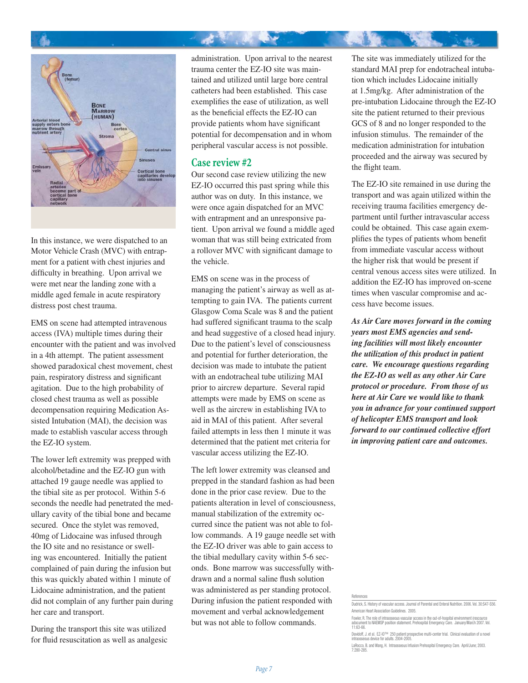

In this instance, we were dispatched to an Motor Vehicle Crash (MVC) with entrapment for a patient with chest injuries and difficulty in breathing. Upon arrival we were met near the landing zone with a middle aged female in acute respiratory distress post chest trauma.

EMS on scene had attempted intravenous access (IVA) multiple times during their encounter with the patient and was involved in a 4th attempt. The patient assessment showed paradoxical chest movement, chest pain, respiratory distress and significant agitation. Due to the high probability of closed chest trauma as well as possible decompensation requiring Medication Assisted Intubation (MAI), the decision was made to establish vascular access through the EZ-IO system.

The lower left extremity was prepped with alcohol/betadine and the EZ-IO gun with attached 19 gauge needle was applied to the tibial site as per protocol. Within 5-6 seconds the needle had penetrated the medullary cavity of the tibial bone and became secured. Once the stylet was removed, 40mg of Lidocaine was infused through the IO site and no resistance or swelling was encountered. Initially the patient complained of pain during the infusion but this was quickly abated within 1 minute of Lidocaine administration, and the patient did not complain of any further pain during her care and transport.

During the transport this site was utilized for fluid resuscitation as well as analgesic administration. Upon arrival to the nearest trauma center the EZ-IO site was maintained and utilized until large bore central catheters had been established. This case exemplifies the ease of utilization, as well as the beneficial effects the EZ-IO can provide patients whom have significant potential for decompensation and in whom peripheral vascular access is not possible.

#### **Case review #2**

Our second case review utilizing the new EZ-IO occurred this past spring while this author was on duty. In this instance, we were once again dispatched for an MVC with entrapment and an unresponsive patient. Upon arrival we found a middle aged woman that was still being extricated from a rollover MVC with significant damage to the vehicle.

EMS on scene was in the process of managing the patient's airway as well as attempting to gain IVA. The patients current Glasgow Coma Scale was 8 and the patient had suffered significant trauma to the scalp and head suggestive of a closed head injury. Due to the patient's level of consciousness and potential for further deterioration, the decision was made to intubate the patient with an endotracheal tube utilizing MAI prior to aircrew departure. Several rapid attempts were made by EMS on scene as well as the aircrew in establishing IVA to aid in MAI of this patient. After several failed attempts in less then 1 minute it was determined that the patient met criteria for vascular access utilizing the EZ-IO.

The left lower extremity was cleansed and prepped in the standard fashion as had been done in the prior case review. Due to the patients alteration in level of consciousness, manual stabilization of the extremity occurred since the patient was not able to follow commands. A 19 gauge needle set with the EZ-IO driver was able to gain access to the tibial medullary cavity within 5-6 seconds. Bone marrow was successfully withdrawn and a normal saline flush solution was administered as per standing protocol. During infusion the patient responded with movement and verbal acknowledgement but was not able to follow commands.

The site was immediately utilized for the standard MAI prep for endotracheal intubation which includes Lidocaine initially at 1.5mg/kg. After administration of the pre-intubation Lidocaine through the EZ-IO site the patient returned to their previous GCS of 8 and no longer responded to the infusion stimulus. The remainder of the medication administration for intubation proceeded and the airway was secured by the flight team.

The EZ-IO site remained in use during the transport and was again utilized within the receiving trauma facilities emergency department until further intravascular access could be obtained. This case again exemplifies the types of patients whom benefit from immediate vascular access without the higher risk that would be present if central venous access sites were utilized. In addition the EZ-IO has improved on-scene times when vascular compromise and access have become issues.

*As Air Care moves forward in the coming years most EMS agencies and sending facilities will most likely encounter the utilization of this product in patient care. We encourage questions regarding the EZ-IO as well as any other Air Care protocol or procedure. From those of us here at Air Care we would like to thank you in advance for your continued support of helicopter EMS transport and look forward to our continued collective effort in improving patient care and outcomes.*

Dudrick, S. History of vascular access. Journal of Parental and Enteral Nutrition. 2006. Vol. 30:S47-S56. American Heart Association Guidelines. 2005. References

Fowler, R. The role of intraosseous vascular access in the out-of-hospital environment (rescource adocument to NAEMSP position statement. Prehospital Emergency Care. January/March 2007. Vol. adocument<br>11:63-66.

Davidoff, J. et al. EZ-IO™ 250 patient prospective multi-center trial. Clinical evaluation of a novel intraosseous device for adults. 2004-2005.

LaRocco, B. and Wang, H. Intraosseous Infusion Prehospital Emergency Care. April/June; 2003. 7:280-285.